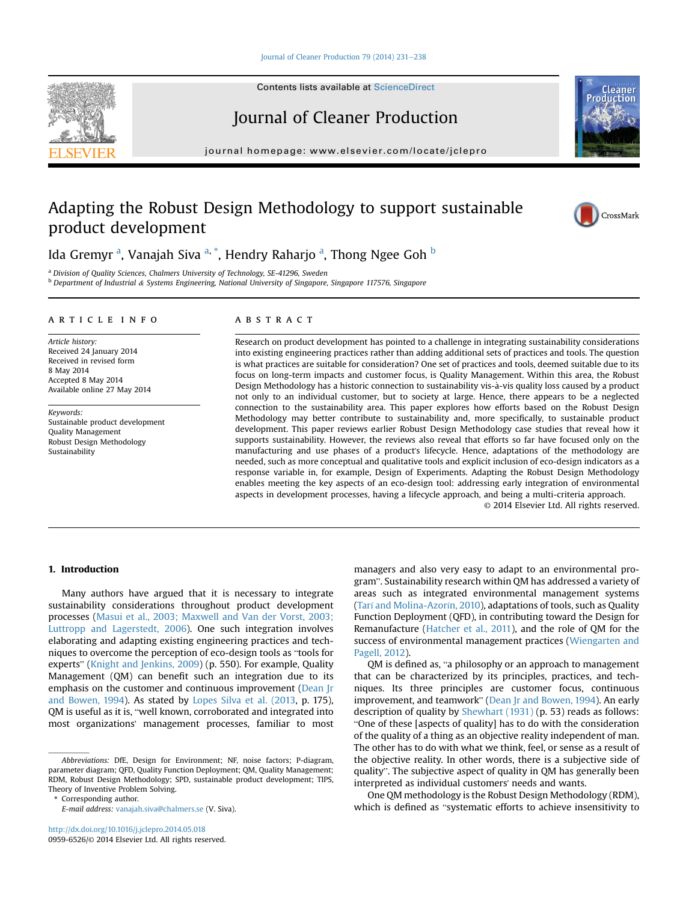#### [Journal of Cleaner Production 79 \(2014\) 231](http://dx.doi.org/10.1016/j.jclepro.2014.05.018)-[238](http://dx.doi.org/10.1016/j.jclepro.2014.05.018)

Contents lists available at ScienceDirect

# Journal of Cleaner Production

journal homepage: [www.elsevier.com/locate/jclepro](http://www.elsevier.com/locate/jclepro)

# Adapting the Robust Design Methodology to support sustainable product development



<sup>a</sup> Division of Quality Sciences, Chalmers University of Technology, SE-41296, Sweden <sup>b</sup> Department of Industrial & Systems Engineering, National University of Singapore, Singapore 117576, Singapore

#### article info

Article history: Received 24 January 2014 Received in revised form 8 May 2014 Accepted 8 May 2014 Available online 27 May 2014

Keywords: Sustainable product development Quality Management Robust Design Methodology Sustainability

## ABSTRACT

Research on product development has pointed to a challenge in integrating sustainability considerations into existing engineering practices rather than adding additional sets of practices and tools. The question is what practices are suitable for consideration? One set of practices and tools, deemed suitable due to its focus on long-term impacts and customer focus, is Quality Management. Within this area, the Robust Design Methodology has a historic connection to sustainability vis-a-vis quality loss caused by a product not only to an individual customer, but to society at large. Hence, there appears to be a neglected connection to the sustainability area. This paper explores how efforts based on the Robust Design Methodology may better contribute to sustainability and, more specifically, to sustainable product development. This paper reviews earlier Robust Design Methodology case studies that reveal how it supports sustainability. However, the reviews also reveal that efforts so far have focused only on the manufacturing and use phases of a product's lifecycle. Hence, adaptations of the methodology are needed, such as more conceptual and qualitative tools and explicit inclusion of eco-design indicators as a response variable in, for example, Design of Experiments. Adapting the Robust Design Methodology enables meeting the key aspects of an eco-design tool: addressing early integration of environmental aspects in development processes, having a lifecycle approach, and being a multi-criteria approach. © 2014 Elsevier Ltd. All rights reserved.

#### 1. Introduction

Many authors have argued that it is necessary to integrate sustainability considerations throughout product development processes ([Masui et al., 2003; Maxwell and Van der Vorst, 2003;](#page-6-0) [Luttropp and Lagerstedt, 2006](#page-6-0)). One such integration involves elaborating and adapting existing engineering practices and techniques to overcome the perception of eco-design tools as "tools for experts" ([Knight and Jenkins, 2009](#page-6-0)) (p. 550). For example, Quality Management (QM) can benefit such an integration due to its emphasis on the customer and continuous improvement [\(Dean Jr](#page-6-0) [and Bowen, 1994](#page-6-0)). As stated by [Lopes Silva et al. \(2013,](#page-6-0) p. 175), QM is useful as it is, "well known, corroborated and integrated into most organizations' management processes, familiar to most

Corresponding author.

E-mail address: [vanajah.siva@chalmers.se](mailto:vanajah.siva@chalmers.se) (V. Siva).

<http://dx.doi.org/10.1016/j.jclepro.2014.05.018> 0959-6526/© 2014 Elsevier Ltd. All rights reserved. managers and also very easy to adapt to an environmental program". Sustainability research within QM has addressed a variety of areas such as integrated environmental management systems (Tarí [and Molina-Azor](#page-7-0)ín, 2010), adaptations of tools, such as Quality Function Deployment (QFD), in contributing toward the Design for Remanufacture ([Hatcher et al., 2011](#page-6-0)), and the role of QM for the success of environmental management practices [\(Wiengarten and](#page-7-0) [Pagell, 2012\)](#page-7-0).

QM is defined as, "a philosophy or an approach to management that can be characterized by its principles, practices, and techniques. Its three principles are customer focus, continuous improvement, and teamwork" [\(Dean Jr and Bowen, 1994](#page-6-0)). An early description of quality by [Shewhart \(1931\)](#page-6-0) (p. 53) reads as follows: One of these [aspects of quality] has to do with the consideration of the quality of a thing as an objective reality independent of man. The other has to do with what we think, feel, or sense as a result of the objective reality. In other words, there is a subjective side of quality". The subjective aspect of quality in QM has generally been interpreted as individual customers' needs and wants.

One QM methodology is the Robust Design Methodology (RDM), which is defined as "systematic efforts to achieve insensitivity to







Abbreviations: DfE, Design for Environment; NF, noise factors; P-diagram, parameter diagram; QFD, Quality Function Deployment; QM, Quality Management; RDM, Robust Design Methodology; SPD, sustainable product development; TIPS, Theory of Inventive Problem Solving.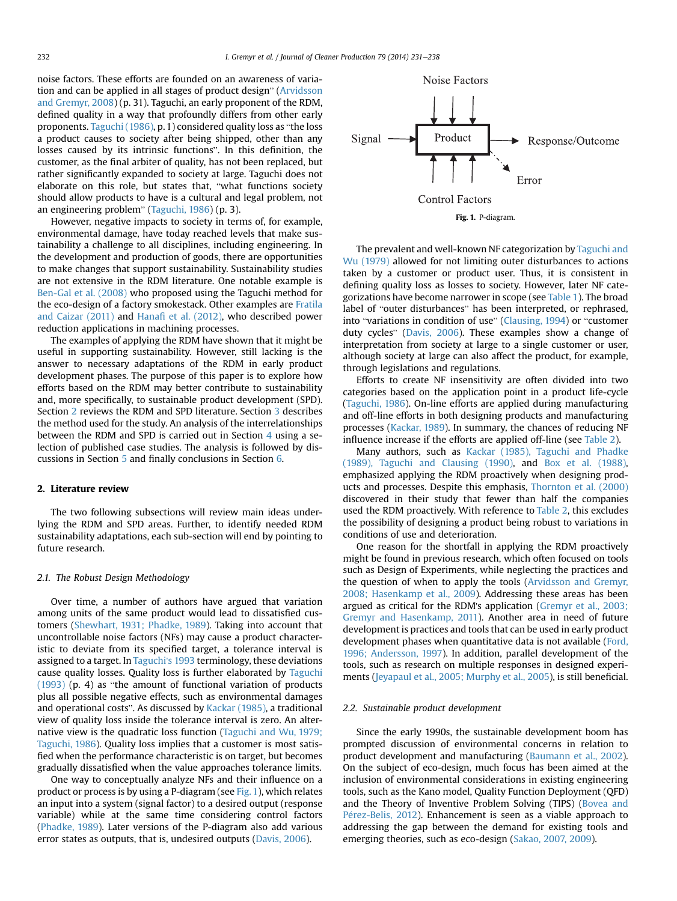<span id="page-1-0"></span>noise factors. These efforts are founded on an awareness of varia-tion and can be applied in all stages of product design" [\(Arvidsson](#page-6-0) [and Gremyr, 2008](#page-6-0)) (p. 31). Taguchi, an early proponent of the RDM, defined quality in a way that profoundly differs from other early proponents. [Taguchi \(1986\),](#page-6-0) p. 1) considered quality loss as "the loss a product causes to society after being shipped, other than any losses caused by its intrinsic functions". In this definition, the customer, as the final arbiter of quality, has not been replaced, but rather significantly expanded to society at large. Taguchi does not elaborate on this role, but states that, "what functions society should allow products to have is a cultural and legal problem, not an engineering problem" [\(Taguchi, 1986](#page-6-0)) (p. 3).

However, negative impacts to society in terms of, for example, environmental damage, have today reached levels that make sustainability a challenge to all disciplines, including engineering. In the development and production of goods, there are opportunities to make changes that support sustainability. Sustainability studies are not extensive in the RDM literature. One notable example is [Ben-Gal et al. \(2008\)](#page-6-0) who proposed using the Taguchi method for the eco-design of a factory smokestack. Other examples are [Fratila](#page-6-0) [and Caizar \(2011\)](#page-6-0) and Hanafi [et al. \(2012\)](#page-6-0), who described power reduction applications in machining processes.

The examples of applying the RDM have shown that it might be useful in supporting sustainability. However, still lacking is the answer to necessary adaptations of the RDM in early product development phases. The purpose of this paper is to explore how efforts based on the RDM may better contribute to sustainability and, more specifically, to sustainable product development (SPD). Section 2 reviews the RDM and SPD literature. Section [3](#page-2-0) describes the method used for the study. An analysis of the interrelationships between the RDM and SPD is carried out in Section [4](#page-3-0) using a selection of published case studies. The analysis is followed by discussions in Section [5](#page-5-0) and finally conclusions in Section [6.](#page-6-0)

#### 2. Literature review

The two following subsections will review main ideas underlying the RDM and SPD areas. Further, to identify needed RDM sustainability adaptations, each sub-section will end by pointing to future research.

#### 2.1. The Robust Design Methodology

Over time, a number of authors have argued that variation among units of the same product would lead to dissatisfied customers ([Shewhart, 1931; Phadke, 1989](#page-6-0)). Taking into account that uncontrollable noise factors (NFs) may cause a product characteristic to deviate from its specified target, a tolerance interval is assigned to a target. In [Taguchi](#page-7-0)'s 1993 terminology, these deviations assigned to a target. In Taguelli's 1999 certificiongly, these deviations<br>cause quality losses. Quality loss is further elaborated by [Taguchi](#page-7-0)<br>[\(1993\)](#page-7-0) (p. 4) as "the amount of functional variation of products plus all possible negative effects, such as environmental damages  $(1993)$  (p. 4) as "the amount of functional variation of products plus all possible negative effects, such as environmental damages and operational costs". As discussed by [Kackar \(1985\),](#page-6-0) a traditional view of quality loss inside the tolerance interval is zero. An alternative view is the quadratic loss function ([Taguchi and Wu, 1979;](#page-7-0) [Taguchi, 1986](#page-7-0)). Quality loss implies that a customer is most satisfied when the performance characteristic is on target, but becomes gradually dissatisfied when the value approaches tolerance limits.

One way to conceptually analyze NFs and their influence on a product or process is by using a P-diagram (see Fig. 1), which relates an input into a system (signal factor) to a desired output (response variable) while at the same time considering control factors ([Phadke, 1989\)](#page-6-0). Later versions of the P-diagram also add various error states as outputs, that is, undesired outputs [\(Davis, 2006](#page-6-0)).



The prevalent and well-known NF categorization by [Taguchi and](#page-7-0) [Wu \(1979\)](#page-7-0) allowed for not limiting outer disturbances to actions taken by a customer or product user. Thus, it is consistent in defining quality loss as losses to society. However, later NF categorizations have become narrower in scope (see [Table 1\)](#page-2-0). The broad label of "outer disturbances" has been interpreted, or rephrased, gonzations have become narrower in scope (see Table 1). The broad<br>label of "outer disturbances" has been interpreted, or rephrased,<br>into "variations in condition of use" [\(Clausing, 1994\)](#page-6-0) or "customer duct of buter distributions has been interpreted, or reprintsed,<br>into "variations in condition of use" (Clausing, 1994) or "customer<br>duty cycles" [\(Davis, 2006\)](#page-6-0). These examples show a change of interpretation from society at large to a single customer or user, although society at large can also affect the product, for example, through legislations and regulations.

Efforts to create NF insensitivity are often divided into two categories based on the application point in a product life-cycle ([Taguchi, 1986\)](#page-6-0). On-line efforts are applied during manufacturing and off-line efforts in both designing products and manufacturing processes ([Kackar, 1989](#page-6-0)). In summary, the chances of reducing NF influence increase if the efforts are applied off-line (see [Table 2\)](#page-2-0).

Many authors, such as [Kackar \(1985\), Taguchi and Phadke](#page-6-0) [\(1989\), Taguchi and Clausing \(1990\)](#page-6-0), and [Box et al. \(1988\),](#page-6-0) emphasized applying the RDM proactively when designing products and processes. Despite this emphasis, [Thornton et al. \(2000\)](#page-7-0) discovered in their study that fewer than half the companies used the RDM proactively. With reference to [Table 2](#page-2-0), this excludes the possibility of designing a product being robust to variations in conditions of use and deterioration.

One reason for the shortfall in applying the RDM proactively might be found in previous research, which often focused on tools such as Design of Experiments, while neglecting the practices and the question of when to apply the tools [\(Arvidsson and Gremyr,](#page-6-0) [2008; Hasenkamp et al., 2009\)](#page-6-0). Addressing these areas has been argued as critical for the RDM's application [\(Gremyr et al., 2003;](#page-6-0) [Gremyr and Hasenkamp, 2011\)](#page-6-0). Another area in need of future development is practices and tools that can be used in early product development phases when quantitative data is not available [\(Ford,](#page-6-0) [1996; Andersson, 1997](#page-6-0)). In addition, parallel development of the tools, such as research on multiple responses in designed experiments [\(Jeyapaul et al., 2005; Murphy et al., 2005](#page-6-0)), is still beneficial.

#### 2.2. Sustainable product development

Since the early 1990s, the sustainable development boom has prompted discussion of environmental concerns in relation to product development and manufacturing [\(Baumann et al., 2002\)](#page-6-0). On the subject of eco-design, much focus has been aimed at the inclusion of environmental considerations in existing engineering tools, such as the Kano model, Quality Function Deployment (QFD) and the Theory of Inventive Problem Solving (TIPS) [\(Bovea and](#page-6-0) [P](#page-6-0)é[rez-Belis, 2012](#page-6-0)). Enhancement is seen as a viable approach to addressing the gap between the demand for existing tools and emerging theories, such as eco-design [\(Sakao, 2007, 2009](#page-6-0)).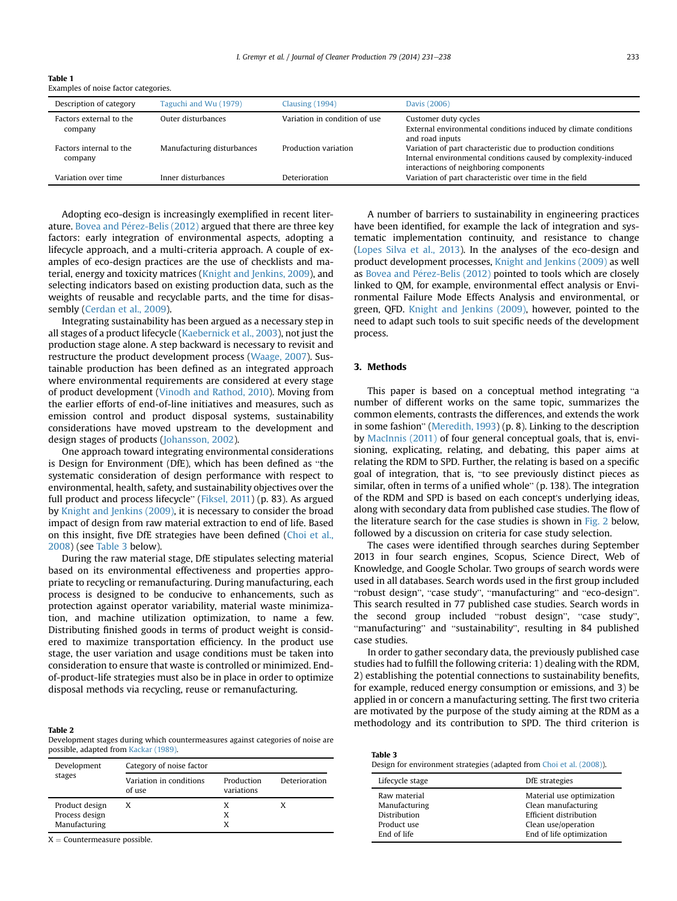<span id="page-2-0"></span>

| Table 1                              |
|--------------------------------------|
| Examples of noise factor categories. |

| Description of category            | Taguchi and Wu (1979)      | Clausing (1994)               | Davis (2006)                                                                                                                                       |
|------------------------------------|----------------------------|-------------------------------|----------------------------------------------------------------------------------------------------------------------------------------------------|
| Factors external to the<br>company | Outer disturbances         | Variation in condition of use | Customer duty cycles<br>External environmental conditions induced by climate conditions                                                            |
| Factors internal to the<br>company | Manufacturing disturbances | Production variation          | and road inputs<br>Variation of part characteristic due to production conditions<br>Internal environmental conditions caused by complexity-induced |
| Variation over time                | Inner disturbances         | Deterioration                 | interactions of neighboring components<br>Variation of part characteristic over time in the field                                                  |

Adopting eco-design is increasingly exemplified in recent literature. Bovea and Pérez-Belis (2012) argued that there are three key factors: early integration of environmental aspects, adopting a lifecycle approach, and a multi-criteria approach. A couple of examples of eco-design practices are the use of checklists and material, energy and toxicity matrices [\(Knight and Jenkins, 2009](#page-6-0)), and selecting indicators based on existing production data, such as the weights of reusable and recyclable parts, and the time for disas-sembly [\(Cerdan et al., 2009](#page-6-0)).

Integrating sustainability has been argued as a necessary step in all stages of a product lifecycle [\(Kaebernick et al., 2003](#page-6-0)), not just the production stage alone. A step backward is necessary to revisit and restructure the product development process ([Waage, 2007\)](#page-7-0). Sustainable production has been defined as an integrated approach where environmental requirements are considered at every stage of product development [\(Vinodh and Rathod, 2010\)](#page-7-0). Moving from the earlier efforts of end-of-line initiatives and measures, such as emission control and product disposal systems, sustainability considerations have moved upstream to the development and design stages of products ([Johansson, 2002\)](#page-6-0).

One approach toward integrating environmental considerations is Design for Environment (DfE), which has been defined as "the systematic consideration of design performance with respect to environmental, health, safety, and sustainability objectives over the full product and process lifecycle" ([Fiksel, 2011\)](#page-6-0) (p. 83). As argued by [Knight and Jenkins \(2009\)](#page-6-0), it is necessary to consider the broad impact of design from raw material extraction to end of life. Based on this insight, five DfE strategies have been defined ([Choi et al.,](#page-6-0) [2008\)](#page-6-0) (see Table 3 below).

During the raw material stage, DfE stipulates selecting material based on its environmental effectiveness and properties appropriate to recycling or remanufacturing. During manufacturing, each process is designed to be conducive to enhancements, such as protection against operator variability, material waste minimization, and machine utilization optimization, to name a few. Distributing finished goods in terms of product weight is considered to maximize transportation efficiency. In the product use stage, the user variation and usage conditions must be taken into consideration to ensure that waste is controlled or minimized. Endof-product-life strategies must also be in place in order to optimize disposal methods via recycling, reuse or remanufacturing.

Development stages during which countermeasures against categories of noise are possible, adapted from [Kackar \(1989\)](#page-6-0).

| Development                                       | Category of noise factor          |                          |               |  |  |
|---------------------------------------------------|-----------------------------------|--------------------------|---------------|--|--|
| stages                                            | Variation in conditions<br>of use | Production<br>variations | Deterioration |  |  |
| Product design<br>Process design<br>Manufacturing |                                   | x<br>x<br>x              |               |  |  |

 $X =$  Countermeasure possible.

A number of barriers to sustainability in engineering practices have been identified, for example the lack of integration and systematic implementation continuity, and resistance to change ([Lopes Silva et al., 2013\)](#page-6-0). In the analyses of the eco-design and product development processes, [Knight and Jenkins \(2009\)](#page-6-0) as well as Bovea and Pérez-Belis (2012) pointed to tools which are closely linked to QM, for example, environmental effect analysis or Environmental Failure Mode Effects Analysis and environmental, or green, QFD. [Knight and Jenkins \(2009\),](#page-6-0) however, pointed to the need to adapt such tools to suit specific needs of the development process.

## 3. Methods

This paper is based on a conceptual method integrating "<sup>a</sup> number of different works on the same topic, summarizes the common elements, contrasts the differences, and extends the work in some fashion" ([Meredith, 1993\)](#page-6-0) (p. 8). Linking to the description by [MacInnis \(2011\)](#page-6-0) of four general conceptual goals, that is, envisioning, explicating, relating, and debating, this paper aims at relating the RDM to SPD. Further, the relating is based on a specific goining, expireding, relating, and debating, this paper allies at<br>relating the RDM to SPD. Further, the relating is based on a specific<br>goal of integration, that is, "to see previously distinct pieces as relating the RDM to SFD: Further, the Felating is based on a specific<br>goal of integration, that is, "to see previously distinct pieces as<br>similar, often in terms of a unified whole" (p. 138). The integration of the RDM and SPD is based on each concept's underlying ideas, along with secondary data from published case studies. The flow of the literature search for the case studies is shown in [Fig. 2](#page-3-0) below, followed by a discussion on criteria for case study selection.

The cases were identified through searches during September 2013 in four search engines, Scopus, Science Direct, Web of Knowledge, and Google Scholar. Two groups of search words were<br>weed in all details are Gearth words weed in the first wave included used in all databases. Search words used in the first group included "robust design", "case study", "manufacturing" and "eco-design". This search resulted in 77 published case studies. Search words in the second group included "robust design", "case study", the second group included "robust design", "case study", manufacturing" and "sustainability", resulting in 84 published case studies.

In order to gather secondary data, the previously published case studies had to fulfill the following criteria: 1) dealing with the RDM, 2) establishing the potential connections to sustainability benefits, for example, reduced energy consumption or emissions, and 3) be applied in or concern a manufacturing setting. The first two criteria are motivated by the purpose of the study aiming at the RDM as a methodology and its contribution to SPD. The third criterion is Table 2

| Table 3                                                              |  |
|----------------------------------------------------------------------|--|
| Design for environment strategies (adapted from Choi et al. (2008)). |  |

| Lifecycle stage                                                                    | DfE strategies                                                                                                                |
|------------------------------------------------------------------------------------|-------------------------------------------------------------------------------------------------------------------------------|
| Raw material<br>Manufacturing<br><b>Distribution</b><br>Product use<br>End of life | Material use optimization<br>Clean manufacturing<br>Efficient distribution<br>Clean use/operation<br>End of life optimization |
|                                                                                    |                                                                                                                               |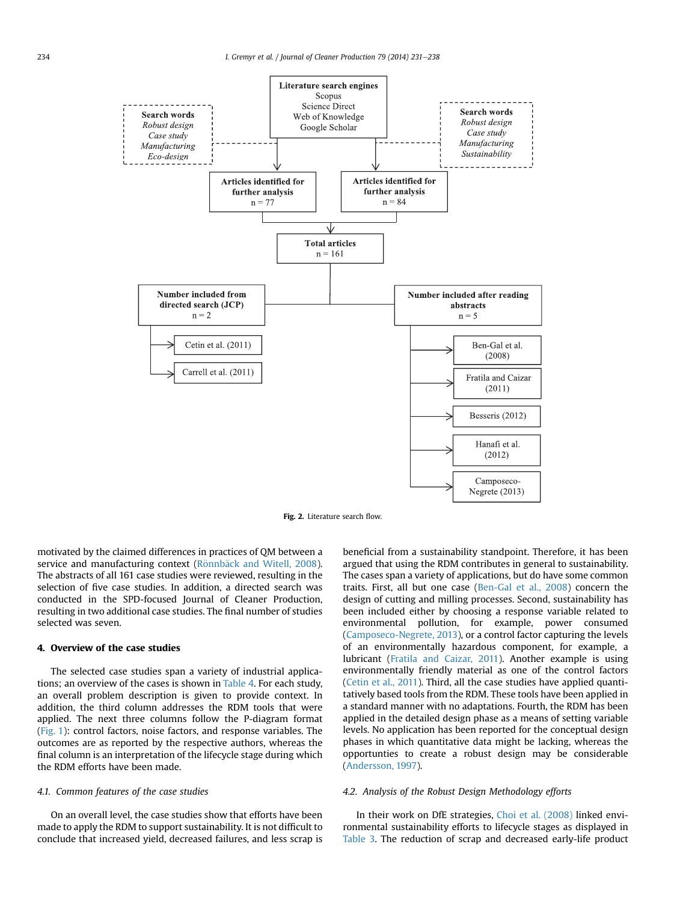<span id="page-3-0"></span>

Fig. 2. Literature search flow.

motivated by the claimed differences in practices of QM between a service and manufacturing context (Rönnbäck and Witell, 2008). The abstracts of all 161 case studies were reviewed, resulting in the selection of five case studies. In addition, a directed search was conducted in the SPD-focused Journal of Cleaner Production, resulting in two additional case studies. The final number of studies selected was seven.

#### 4. Overview of the case studies

The selected case studies span a variety of industrial applications; an overview of the cases is shown in [Table 4](#page-4-0). For each study, an overall problem description is given to provide context. In addition, the third column addresses the RDM tools that were applied. The next three columns follow the P-diagram format ([Fig. 1\)](#page-1-0): control factors, noise factors, and response variables. The outcomes are as reported by the respective authors, whereas the final column is an interpretation of the lifecycle stage during which the RDM efforts have been made.

## 4.1. Common features of the case studies

On an overall level, the case studies show that efforts have been made to apply the RDM to support sustainability. It is not difficult to conclude that increased yield, decreased failures, and less scrap is beneficial from a sustainability standpoint. Therefore, it has been argued that using the RDM contributes in general to sustainability. The cases span a variety of applications, but do have some common traits. First, all but one case [\(Ben-Gal et al., 2008](#page-6-0)) concern the design of cutting and milling processes. Second, sustainability has been included either by choosing a response variable related to environmental pollution, for example, power consumed ([Camposeco-Negrete, 2013\)](#page-6-0), or a control factor capturing the levels of an environmentally hazardous component, for example, a lubricant ([Fratila and Caizar, 2011\)](#page-6-0). Another example is using environmentally friendly material as one of the control factors ([Cetin et al., 2011\)](#page-6-0). Third, all the case studies have applied quantitatively based tools from the RDM. These tools have been applied in a standard manner with no adaptations. Fourth, the RDM has been applied in the detailed design phase as a means of setting variable levels. No application has been reported for the conceptual design phases in which quantitative data might be lacking, whereas the opportunties to create a robust design may be considerable ([Andersson, 1997\)](#page-6-0).

## 4.2. Analysis of the Robust Design Methodology efforts

In their work on DfE strategies, [Choi et al. \(2008\)](#page-6-0) linked environmental sustainability efforts to lifecycle stages as displayed in [Table 3.](#page-2-0) The reduction of scrap and decreased early-life product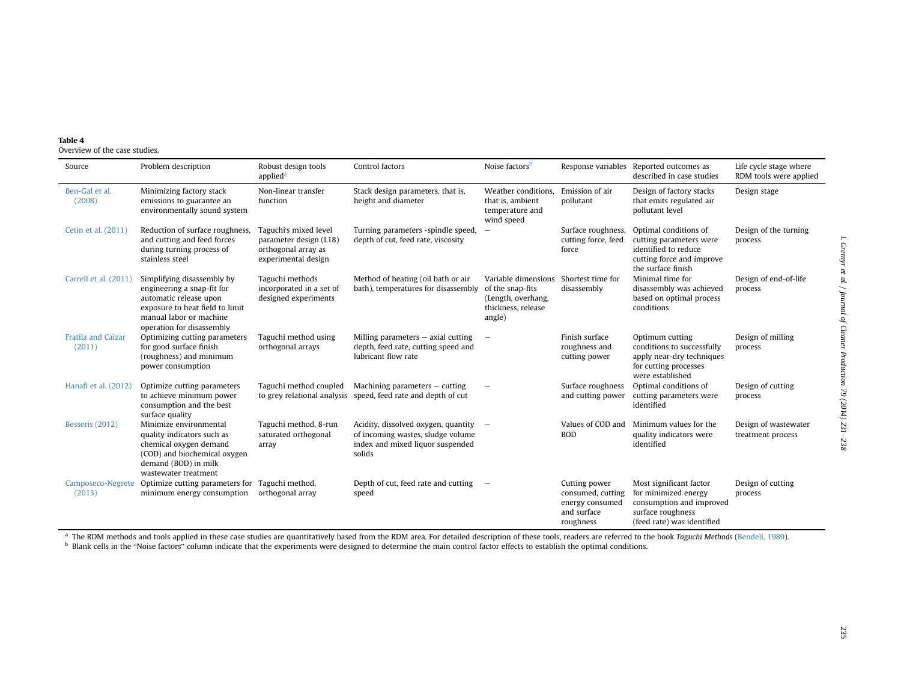#### <span id="page-4-0"></span>Table 4

Overview of the case studies.

| Source                              | Problem description                                                                                                                                                           | Robust design tools<br>applied <sup>a</sup>                                                   | Control factors                                                                                                        | Noise factors <sup>b</sup>                                                                    |                                                                                   | Response variables Reported outcomes as<br>described in case studies                                                           | Life cycle stage where<br>RDM tools were applied |
|-------------------------------------|-------------------------------------------------------------------------------------------------------------------------------------------------------------------------------|-----------------------------------------------------------------------------------------------|------------------------------------------------------------------------------------------------------------------------|-----------------------------------------------------------------------------------------------|-----------------------------------------------------------------------------------|--------------------------------------------------------------------------------------------------------------------------------|--------------------------------------------------|
| Ben-Gal et al.<br>(2008)            | Minimizing factory stack<br>emissions to guarantee an<br>environmentally sound system                                                                                         | Non-linear transfer<br>function                                                               | Stack design parameters, that is,<br>height and diameter                                                               | Weather conditions,<br>that is, ambient<br>temperature and<br>wind speed                      | Emission of air<br>pollutant                                                      | Design of factory stacks<br>that emits regulated air<br>pollutant level                                                        | Design stage                                     |
| Cetin et al. (2011)                 | Reduction of surface roughness,<br>and cutting and feed forces<br>during turning process of<br>stainless steel                                                                | Taguchi's mixed level<br>parameter design (L18)<br>orthogonal array as<br>experimental design | Turning parameters -spindle speed,<br>depth of cut, feed rate, viscosity                                               |                                                                                               | Surface roughness,<br>cutting force, feed<br>force                                | Optimal conditions of<br>cutting parameters were<br>identified to reduce<br>cutting force and improve<br>the surface finish    | Design of the turning<br>process                 |
| Carrell et al. (2011)               | Simplifying disassembly by<br>engineering a snap-fit for<br>automatic release upon<br>exposure to heat field to limit<br>manual labor or machine<br>operation for disassembly | Taguchi methods<br>incorporated in a set of<br>designed experiments                           | Method of heating (oil bath or air<br>bath), temperatures for disassembly                                              | Variable dimensions<br>of the snap-fits<br>(Length, overhang,<br>thickness, release<br>angle) | Shortest time for<br>disassembly                                                  | Minimal time for<br>disassembly was achieved<br>based on optimal process<br>conditions                                         | Design of end-of-life<br>process                 |
| <b>Fratila and Caizar</b><br>(2011) | Optimizing cutting parameters<br>for good surface finish<br>(roughness) and minimum<br>power consumption                                                                      | Taguchi method using<br>orthogonal arrays                                                     | Milling parameters $-$ axial cutting<br>depth, feed rate, cutting speed and<br>lubricant flow rate                     |                                                                                               | Finish surface<br>roughness and<br>cutting power                                  | Optimum cutting<br>conditions to successfully<br>apply near-dry techniques<br>for cutting processes<br>were established        | Design of milling<br>process                     |
| Hanafi et al. (2012)                | Optimize cutting parameters<br>to achieve minimum power<br>consumption and the best<br>surface quality                                                                        | Taguchi method coupled<br>to grey relational analysis                                         | Machining parameters $-$ cutting<br>speed, feed rate and depth of cut                                                  |                                                                                               | Surface roughness<br>and cutting power                                            | Optimal conditions of<br>cutting parameters were<br>identified                                                                 | Design of cutting<br>process                     |
| Besseris (2012)                     | Minimize environmental<br>quality indicators such as<br>chemical oxygen demand<br>(COD) and biochemical oxygen<br>demand (BOD) in milk<br>wastewater treatment                | Taguchi method, 8-run<br>saturated orthogonal<br>array                                        | Acidity, dissolved oxygen, quantity<br>of incoming wastes, sludge volume<br>index and mixed liquor suspended<br>solids | $\overline{\phantom{a}}$                                                                      | Values of COD and<br><b>BOD</b>                                                   | Minimum values for the<br>quality indicators were<br>identified                                                                | Design of wastewater<br>treatment process        |
| Camposeco-Negrete<br>(2013)         | Optimize cutting parameters for<br>minimum energy consumption                                                                                                                 | Taguchi method,<br>orthogonal array                                                           | Depth of cut, feed rate and cutting<br>speed                                                                           | $\hspace{0.1mm}-\hspace{0.1mm}$                                                               | Cutting power<br>consumed, cutting<br>energy consumed<br>and surface<br>roughness | Most significant factor<br>for minimized energy<br>consumption and improved<br>surface roughness<br>(feed rate) was identified | Design of cutting<br>process                     |

<sup>a</sup> The RDM methods and tools applied in these case studies are quantitatively based from the RDM area. For detailed description of these tools, readers are referred to the book *Taguchi Methods* ([Bendell,](#page-6-0) 1989).<br><sup>b</sup> Blank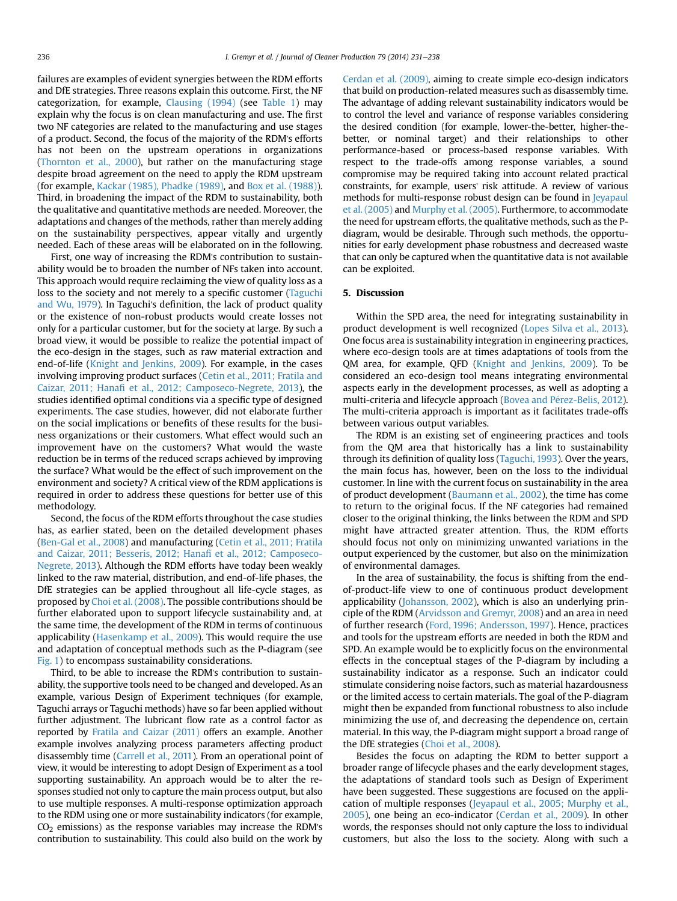<span id="page-5-0"></span>failures are examples of evident synergies between the RDM efforts and DfE strategies. Three reasons explain this outcome. First, the NF categorization, for example, [Clausing \(1994\)](#page-6-0) (see [Table 1](#page-2-0)) may explain why the focus is on clean manufacturing and use. The first two NF categories are related to the manufacturing and use stages of a product. Second, the focus of the majority of the RDM's efforts has not been on the upstream operations in organizations ([Thornton et al., 2000\)](#page-7-0), but rather on the manufacturing stage despite broad agreement on the need to apply the RDM upstream (for example, [Kackar \(1985\), Phadke \(1989\),](#page-6-0) and [Box et al. \(1988\)\)](#page-6-0). Third, in broadening the impact of the RDM to sustainability, both the qualitative and quantitative methods are needed. Moreover, the adaptations and changes of the methods, rather than merely adding on the sustainability perspectives, appear vitally and urgently needed. Each of these areas will be elaborated on in the following.

First, one way of increasing the RDM's contribution to sustainability would be to broaden the number of NFs taken into account. This approach would require reclaiming the view of quality loss as a loss to the society and not merely to a specific customer ([Taguchi](#page-7-0) [and Wu, 1979\)](#page-7-0). In Taguchi's definition, the lack of product quality or the existence of non-robust products would create losses not only for a particular customer, but for the society at large. By such a broad view, it would be possible to realize the potential impact of the eco-design in the stages, such as raw material extraction and end-of-life [\(Knight and Jenkins, 2009](#page-6-0)). For example, in the cases involving improving product surfaces [\(Cetin et al., 2011; Fratila and](#page-6-0) Caizar, 2011; Hanafi [et al., 2012; Camposeco-Negrete, 2013\)](#page-6-0), the studies identified optimal conditions via a specific type of designed experiments. The case studies, however, did not elaborate further on the social implications or benefits of these results for the business organizations or their customers. What effect would such an improvement have on the customers? What would the waste reduction be in terms of the reduced scraps achieved by improving the surface? What would be the effect of such improvement on the environment and society? A critical view of the RDM applications is required in order to address these questions for better use of this methodology.

Second, the focus of the RDM efforts throughout the case studies has, as earlier stated, been on the detailed development phases ([Ben-Gal et al., 2008\)](#page-6-0) and manufacturing ([Cetin et al., 2011; Fratila](#page-6-0) [and Caizar, 2011; Besseris, 2012; Hana](#page-6-0)fi et al., 2012; Camposeco-[Negrete, 2013\)](#page-6-0). Although the RDM efforts have today been weakly linked to the raw material, distribution, and end-of-life phases, the DfE strategies can be applied throughout all life-cycle stages, as proposed by [Choi et al. \(2008\).](#page-6-0) The possible contributions should be further elaborated upon to support lifecycle sustainability and, at the same time, the development of the RDM in terms of continuous applicability ([Hasenkamp et al., 2009](#page-6-0)). This would require the use and adaptation of conceptual methods such as the P-diagram (see [Fig. 1](#page-1-0)) to encompass sustainability considerations.

Third, to be able to increase the RDM's contribution to sustainability, the supportive tools need to be changed and developed. As an example, various Design of Experiment techniques (for example, Taguchi arrays or Taguchi methods) have so far been applied without further adjustment. The lubricant flow rate as a control factor as reported by [Fratila and Caizar \(2011\)](#page-6-0) offers an example. Another example involves analyzing process parameters affecting product disassembly time ([Carrell et al., 2011](#page-6-0)). From an operational point of view, it would be interesting to adopt Design of Experiment as a tool supporting sustainability. An approach would be to alter the responses studied not only to capture the main process output, but also to use multiple responses. A multi-response optimization approach to the RDM using one or more sustainability indicators (for example,  $CO<sub>2</sub>$  emissions) as the response variables may increase the RDM's contribution to sustainability. This could also build on the work by

[Cerdan et al. \(2009\),](#page-6-0) aiming to create simple eco-design indicators that build on production-related measures such as disassembly time. The advantage of adding relevant sustainability indicators would be to control the level and variance of response variables considering the desired condition (for example, lower-the-better, higher-thebetter, or nominal target) and their relationships to other performance-based or process-based response variables. With respect to the trade-offs among response variables, a sound compromise may be required taking into account related practical constraints, for example, users' risk attitude. A review of various methods for multi-response robust design can be found in [Jeyapaul](#page-6-0) [et al. \(2005\)](#page-6-0) and [Murphy et al. \(2005\).](#page-6-0) Furthermore, to accommodate the need for upstream efforts, the qualitative methods, such as the Pdiagram, would be desirable. Through such methods, the opportunities for early development phase robustness and decreased waste that can only be captured when the quantitative data is not available can be exploited.

## 5. Discussion

Within the SPD area, the need for integrating sustainability in product development is well recognized ([Lopes Silva et al., 2013\)](#page-6-0). One focus area is sustainability integration in engineering practices, where eco-design tools are at times adaptations of tools from the QM area, for example, QFD [\(Knight and Jenkins, 2009](#page-6-0)). To be considered an eco-design tool means integrating environmental aspects early in the development processes, as well as adopting a multi-criteria and lifecycle approach (Bovea and Pérez-Belis, 2012). The multi-criteria approach is important as it facilitates trade-offs between various output variables.

The RDM is an existing set of engineering practices and tools from the QM area that historically has a link to sustainability through its definition of quality loss ([Taguchi, 1993\)](#page-7-0). Over the years, the main focus has, however, been on the loss to the individual customer. In line with the current focus on sustainability in the area of product development ([Baumann et al., 2002\)](#page-6-0), the time has come to return to the original focus. If the NF categories had remained closer to the original thinking, the links between the RDM and SPD might have attracted greater attention. Thus, the RDM efforts should focus not only on minimizing unwanted variations in the output experienced by the customer, but also on the minimization of environmental damages.

In the area of sustainability, the focus is shifting from the endof-product-life view to one of continuous product development applicability [\(Johansson, 2002\)](#page-6-0), which is also an underlying principle of the RDM ([Arvidsson and Gremyr, 2008](#page-6-0)) and an area in need of further research ([Ford, 1996; Andersson, 1997](#page-6-0)). Hence, practices and tools for the upstream efforts are needed in both the RDM and SPD. An example would be to explicitly focus on the environmental effects in the conceptual stages of the P-diagram by including a sustainability indicator as a response. Such an indicator could stimulate considering noise factors, such as material hazardousness or the limited access to certain materials. The goal of the P-diagram might then be expanded from functional robustness to also include minimizing the use of, and decreasing the dependence on, certain material. In this way, the P-diagram might support a broad range of the DfE strategies [\(Choi et al., 2008](#page-6-0)).

Besides the focus on adapting the RDM to better support a broader range of lifecycle phases and the early development stages, the adaptations of standard tools such as Design of Experiment have been suggested. These suggestions are focused on the application of multiple responses [\(Jeyapaul et al., 2005; Murphy et al.,](#page-6-0) [2005](#page-6-0)), one being an eco-indicator ([Cerdan et al., 2009\)](#page-6-0). In other words, the responses should not only capture the loss to individual customers, but also the loss to the society. Along with such a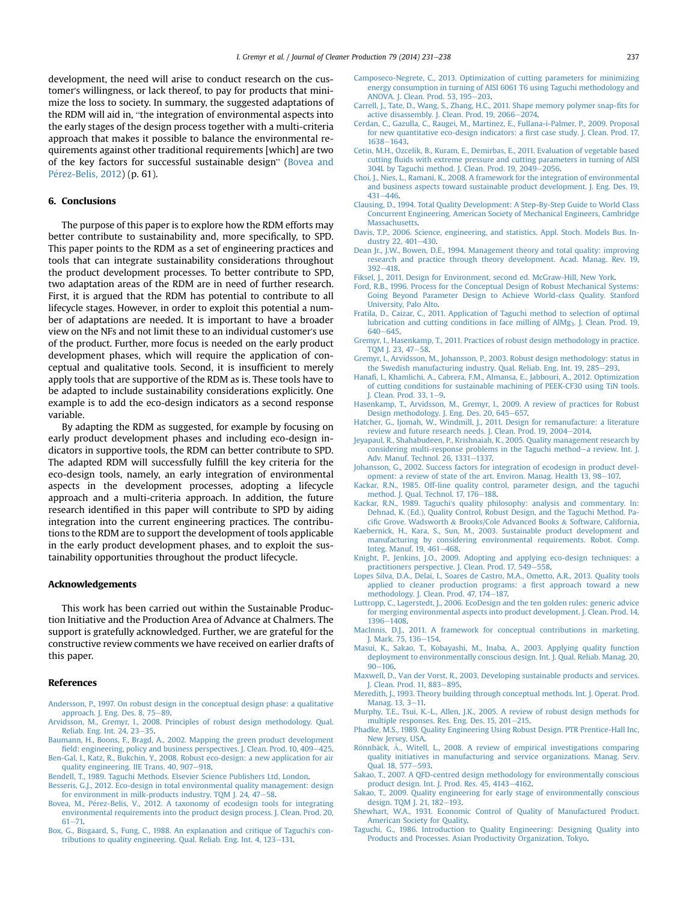<span id="page-6-0"></span>development, the need will arise to conduct research on the customer's willingness, or lack thereof, to pay for products that minimize the loss to society. In summary, the suggested adaptations of the RDM will aid in, "the integration of environmental aspects into the early stages of the design process together with a multi-criteria approach that makes it possible to balance the environmental reapproach that makes it possible to balance the environmental requirements against other traditional requirements [which] are two<br>of the key factors for successful sustainable design" (Bovea and Pérez-Belis, 2012) (p. 61).

## 6. Conclusions

The purpose of this paper is to explore how the RDM efforts may better contribute to sustainability and, more specifically, to SPD. This paper points to the RDM as a set of engineering practices and tools that can integrate sustainability considerations throughout the product development processes. To better contribute to SPD, two adaptation areas of the RDM are in need of further research. First, it is argued that the RDM has potential to contribute to all lifecycle stages. However, in order to exploit this potential a number of adaptations are needed. It is important to have a broader view on the NFs and not limit these to an individual customer's use of the product. Further, more focus is needed on the early product development phases, which will require the application of conceptual and qualitative tools. Second, it is insufficient to merely apply tools that are supportive of the RDM as is. These tools have to be adapted to include sustainability considerations explicitly. One example is to add the eco-design indicators as a second response variable.

By adapting the RDM as suggested, for example by focusing on early product development phases and including eco-design indicators in supportive tools, the RDM can better contribute to SPD. The adapted RDM will successfully fulfill the key criteria for the eco-design tools, namely, an early integration of environmental aspects in the development processes, adopting a lifecycle approach and a multi-criteria approach. In addition, the future research identified in this paper will contribute to SPD by aiding integration into the current engineering practices. The contributions to the RDM are to support the development of tools applicable in the early product development phases, and to exploit the sustainability opportunities throughout the product lifecycle.

#### Acknowledgements

This work has been carried out within the Sustainable Production Initiative and the Production Area of Advance at Chalmers. The support is gratefully acknowledged. Further, we are grateful for the constructive review comments we have received on earlier drafts of this paper.

## References

- [Andersson, P., 1997. On robust design in the conceptual design phase: a qualitative](http://refhub.elsevier.com/S0959-6526(14)00478-8/sref1) approach. J. Eng. Des.  $8, 75-89.$  $8, 75-89.$
- [Arvidsson, M., Gremyr, I., 2008. Principles of robust design methodology. Qual.](http://refhub.elsevier.com/S0959-6526(14)00478-8/sref2) [Reliab. Eng. Int. 24, 23](http://refhub.elsevier.com/S0959-6526(14)00478-8/sref2)-[35](http://refhub.elsevier.com/S0959-6526(14)00478-8/sref2).
- [Baumann, H., Boons, F., Bragd, A., 2002. Mapping the green product development](http://refhub.elsevier.com/S0959-6526(14)00478-8/sref3) fi[eld: engineering, policy and business perspectives. J. Clean. Prod. 10, 409](http://refhub.elsevier.com/S0959-6526(14)00478-8/sref3)-[425](http://refhub.elsevier.com/S0959-6526(14)00478-8/sref3). [Ben-Gal, I., Katz, R., Bukchin, Y., 2008. Robust eco-design: a new application for air](http://refhub.elsevier.com/S0959-6526(14)00478-8/sref4)
- [quality engineering. IIE Trans. 40, 907](http://refhub.elsevier.com/S0959-6526(14)00478-8/sref4)-[918.](http://refhub.elsevier.com/S0959-6526(14)00478-8/sref4) [Bendell, T., 1989. Taguchi Methods. Elsevier Science Publishers Ltd, London](http://refhub.elsevier.com/S0959-6526(14)00478-8/sref5).
- [Besseris, G.J., 2012. Eco-design in total environmental quality management: design](http://refhub.elsevier.com/S0959-6526(14)00478-8/sref6) for environment in milk-products industry. TQM J. 24,  $47-58$ .
- Bovea, M., Pérez-Belis, V., 2012. A taxonomy of ecodesign tools for integrating [environmental requirements into the product design process. J. Clean. Prod. 20,](http://refhub.elsevier.com/S0959-6526(14)00478-8/sref7)  $61 - 71$  $61 - 71$
- [Box, G., Bisgaard, S., Fung, C., 1988. An explanation and critique of Taguchi](http://refhub.elsevier.com/S0959-6526(14)00478-8/sref8)'s con[tributions to quality engineering. Qual. Reliab. Eng. Int. 4, 123](http://refhub.elsevier.com/S0959-6526(14)00478-8/sref8)-[131.](http://refhub.elsevier.com/S0959-6526(14)00478-8/sref8)
- [Camposeco-Negrete, C., 2013. Optimization of cutting parameters for minimizing](http://refhub.elsevier.com/S0959-6526(14)00478-8/sref9) [energy consumption in turning of AISI 6061 T6 using Taguchi methodology and](http://refhub.elsevier.com/S0959-6526(14)00478-8/sref9) ANOVA. I. Clean. Prod. 53, 195-[203.](http://refhub.elsevier.com/S0959-6526(14)00478-8/sref9)
- [Carrell, J., Tate, D., Wang, S., Zhang, H.C., 2011. Shape memory polymer snap-](http://refhub.elsevier.com/S0959-6526(14)00478-8/sref10)fits for active disassembly. J. Clean. Prod.  $19, 2066 - 2074$ .
- [Cerdan, C., Gazulla, C., Raugei, M., Martinez, E., Fullana-i-Palmer, P., 2009. Proposal](http://refhub.elsevier.com/S0959-6526(14)00478-8/sref11) [for new quantitative eco-design indicators: a](http://refhub.elsevier.com/S0959-6526(14)00478-8/sref11) first case study. J. Clean. Prod. 17, [1638](http://refhub.elsevier.com/S0959-6526(14)00478-8/sref11)-[1643](http://refhub.elsevier.com/S0959-6526(14)00478-8/sref11).
- [Cetin, M.H., Ozcelik, B., Kuram, E., Demirbas, E., 2011. Evaluation of vegetable based](http://refhub.elsevier.com/S0959-6526(14)00478-8/sref12) cutting fl[uids with extreme pressure and cutting parameters in turning of AISI](http://refhub.elsevier.com/S0959-6526(14)00478-8/sref12) 304L by Taguchi method. I. Clean. Prod. 19, 2049-[2056.](http://refhub.elsevier.com/S0959-6526(14)00478-8/sref12)
- [Choi, J., Nies, L., Ramani, K., 2008. A framework for the integration of environmental](http://refhub.elsevier.com/S0959-6526(14)00478-8/sref13) [and business aspects toward sustainable product development. J. Eng. Des. 19,](http://refhub.elsevier.com/S0959-6526(14)00478-8/sref13)  $431 - 446$  $431 - 446$
- [Clausing, D., 1994. Total Quality Development: A Step-By-Step Guide to World Class](http://refhub.elsevier.com/S0959-6526(14)00478-8/sref14) [Concurrent Engineering. American Society of Mechanical Engineers, Cambridge](http://refhub.elsevier.com/S0959-6526(14)00478-8/sref14) **[Massachusetts](http://refhub.elsevier.com/S0959-6526(14)00478-8/sref14)**
- [Davis, T.P., 2006. Science, engineering, and statistics. Appl. Stoch. Models Bus. In](http://refhub.elsevier.com/S0959-6526(14)00478-8/sref15)dustry  $22, 401 - 430$ .
- [Dean Jr., J.W., Bowen, D.E., 1994. Management theory and total quality: improving](http://refhub.elsevier.com/S0959-6526(14)00478-8/sref16) [research and practice through theory development. Acad. Manag. Rev. 19,](http://refhub.elsevier.com/S0959-6526(14)00478-8/sref16)  $392 - 418$  $392 - 418$  $392 - 418$
- [Fiksel, J., 2011. Design for Environment, second ed. McGraw-Hill, New York.](http://refhub.elsevier.com/S0959-6526(14)00478-8/sref17)
- [Ford, R.B., 1996. Process for the Conceptual Design of Robust Mechanical Systems:](http://refhub.elsevier.com/S0959-6526(14)00478-8/sref18) [Going Beyond Parameter Design to Achieve World-class Quality. Stanford](http://refhub.elsevier.com/S0959-6526(14)00478-8/sref18) [University, Palo Alto](http://refhub.elsevier.com/S0959-6526(14)00478-8/sref18).
- [Fratila, D., Caizar, C., 2011. Application of Taguchi method to selection of optimal](http://refhub.elsevier.com/S0959-6526(14)00478-8/sref19) [lubrication and cutting conditions in face milling of AlMg3. J. Clean. Prod. 19,](http://refhub.elsevier.com/S0959-6526(14)00478-8/sref19)  $640 - 645$  $640 - 645$  $640 - 645$
- [Gremyr, I., Hasenkamp, T., 2011. Practices of robust design methodology in practice.](http://refhub.elsevier.com/S0959-6526(14)00478-8/sref20) TOM I. 23, 47-[58](http://refhub.elsevier.com/S0959-6526(14)00478-8/sref20).
- [Gremyr, I., Arvidsson, M., Johansson, P., 2003. Robust design methodology: status in](http://refhub.elsevier.com/S0959-6526(14)00478-8/sref21) [the Swedish manufacturing industry. Qual. Reliab. Eng. Int. 19, 285](http://refhub.elsevier.com/S0959-6526(14)00478-8/sref21)-[293.](http://refhub.elsevier.com/S0959-6526(14)00478-8/sref21)
- Hanafi[, I., Khamlichi, A., Cabrera, F.M., Almansa, E., Jabbouri, A., 2012. Optimization](http://refhub.elsevier.com/S0959-6526(14)00478-8/sref22) [of cutting conditions for sustainable machining of PEEK-CF30 using TiN tools.](http://refhub.elsevier.com/S0959-6526(14)00478-8/sref22) [J. Clean. Prod. 33, 1](http://refhub.elsevier.com/S0959-6526(14)00478-8/sref22)-[9](http://refhub.elsevier.com/S0959-6526(14)00478-8/sref22).
- [Hasenkamp, T., Arvidsson, M., Gremyr, I., 2009. A review of practices for Robust](http://refhub.elsevier.com/S0959-6526(14)00478-8/sref23)
- [Design methodology. J. Eng. Des. 20, 645](http://refhub.elsevier.com/S0959-6526(14)00478-8/sref23)–[657.](http://refhub.elsevier.com/S0959-6526(14)00478-8/sref23)<br>[Hatcher, G., Ijomah, W., Windmill, J., 2011. Design for remanufacture: a literature](http://refhub.elsevier.com/S0959-6526(14)00478-8/sref24) [review and future research needs. J. Clean. Prod. 19, 2004](http://refhub.elsevier.com/S0959-6526(14)00478-8/sref24)-[2014.](http://refhub.elsevier.com/S0959-6526(14)00478-8/sref24)
- [Jeyapaul, R., Shahabudeen, P., Krishnaiah, K., 2005. Quality management research by](http://refhub.elsevier.com/S0959-6526(14)00478-8/sref25) [considering multi-response problems in the Taguchi method](http://refhub.elsevier.com/S0959-6526(14)00478-8/sref25)-a review. Int. J [Adv. Manuf. Technol. 26, 1331](http://refhub.elsevier.com/S0959-6526(14)00478-8/sref25)-[1337.](http://refhub.elsevier.com/S0959-6526(14)00478-8/sref25)
- [Johansson, G., 2002. Success factors for integration of ecodesign in product devel](http://refhub.elsevier.com/S0959-6526(14)00478-8/sref26)[opment: a review of state of the art. Environ. Manag. Health 13, 98](http://refhub.elsevier.com/S0959-6526(14)00478-8/sref26)-[107.](http://refhub.elsevier.com/S0959-6526(14)00478-8/sref26)
- [Kackar, R.N., 1985. Off-line quality control, parameter design, and the taguchi](http://refhub.elsevier.com/S0959-6526(14)00478-8/sref27) [method. J. Qual. Technol. 17, 176](http://refhub.elsevier.com/S0959-6526(14)00478-8/sref27)-[188.](http://refhub.elsevier.com/S0959-6526(14)00478-8/sref27)
- Kackar, R.N., 1989. Taguchi'[s quality philosophy: analysis and commentary. In:](http://refhub.elsevier.com/S0959-6526(14)00478-8/sref28) [Dehnad, K. \(Ed.\), Quality Control, Robust Design, and the Taguchi Method. Pa](http://refhub.elsevier.com/S0959-6526(14)00478-8/sref28)cifi[c Grove. Wadsworth](http://refhub.elsevier.com/S0959-6526(14)00478-8/sref28) & [Brooks/Cole Advanced Books](http://refhub.elsevier.com/S0959-6526(14)00478-8/sref28) & [Software, California](http://refhub.elsevier.com/S0959-6526(14)00478-8/sref28).
- [Kaebernick, H., Kara, S., Sun, M., 2003. Sustainable product development and](http://refhub.elsevier.com/S0959-6526(14)00478-8/sref29) [manufacturing by considering environmental requirements. Robot. Comp.](http://refhub.elsevier.com/S0959-6526(14)00478-8/sref29) [Integ. Manuf. 19, 461](http://refhub.elsevier.com/S0959-6526(14)00478-8/sref29)-[468.](http://refhub.elsevier.com/S0959-6526(14)00478-8/sref29)
- [Knight, P., Jenkins, J.O., 2009. Adopting and applying eco-design techniques: a](http://refhub.elsevier.com/S0959-6526(14)00478-8/sref30) [practitioners perspective. J. Clean. Prod. 17, 549](http://refhub.elsevier.com/S0959-6526(14)00478-8/sref30)-[558](http://refhub.elsevier.com/S0959-6526(14)00478-8/sref30).
- [Lopes Silva, D.A., Delai, I., Soares de Castro, M.A., Ometto, A.R., 2013. Quality tools](http://refhub.elsevier.com/S0959-6526(14)00478-8/sref31) [applied to cleaner production programs: a](http://refhub.elsevier.com/S0959-6526(14)00478-8/sref31) first approach toward a new [methodology. J. Clean. Prod. 47, 174](http://refhub.elsevier.com/S0959-6526(14)00478-8/sref31)-[187.](http://refhub.elsevier.com/S0959-6526(14)00478-8/sref31)
- [Luttropp, C., Lagerstedt, J., 2006. EcoDesign and the ten golden rules: generic advice](http://refhub.elsevier.com/S0959-6526(14)00478-8/sref32) [for merging environmental aspects into product development. J. Clean. Prod. 14,](http://refhub.elsevier.com/S0959-6526(14)00478-8/sref32) [1396](http://refhub.elsevier.com/S0959-6526(14)00478-8/sref32)-[1408.](http://refhub.elsevier.com/S0959-6526(14)00478-8/sref32)
- [MacInnis, D.J., 2011. A framework for conceptual contributions in marketing.](http://refhub.elsevier.com/S0959-6526(14)00478-8/sref33) [J. Mark. 75, 136](http://refhub.elsevier.com/S0959-6526(14)00478-8/sref33)-[154](http://refhub.elsevier.com/S0959-6526(14)00478-8/sref33).
- [Masui, K., Sakao, T., Kobayashi, M., Inaba, A., 2003. Applying quality function](http://refhub.elsevier.com/S0959-6526(14)00478-8/sref34) [deployment to environmentally conscious design. Int. J. Qual. Reliab. Manag. 20,](http://refhub.elsevier.com/S0959-6526(14)00478-8/sref34)  $90 - 106$  $90 - 106$ .
- [Maxwell, D., Van der Vorst, R., 2003. Developing sustainable products and services.](http://refhub.elsevier.com/S0959-6526(14)00478-8/sref35) [J. Clean. Prod. 11, 883](http://refhub.elsevier.com/S0959-6526(14)00478-8/sref35)-[895.](http://refhub.elsevier.com/S0959-6526(14)00478-8/sref35)
- [Meredith, J., 1993. Theory building through conceptual methods. Int. J. Operat. Prod.](http://refhub.elsevier.com/S0959-6526(14)00478-8/sref36) [Manag. 13, 3](http://refhub.elsevier.com/S0959-6526(14)00478-8/sref36)-[11.](http://refhub.elsevier.com/S0959-6526(14)00478-8/sref36)
- [Murphy, T.E., Tsui, K.-L., Allen, J.K., 2005. A review of robust design methods for](http://refhub.elsevier.com/S0959-6526(14)00478-8/sref37) [multiple responses. Res. Eng. Des. 15, 201](http://refhub.elsevier.com/S0959-6526(14)00478-8/sref37)-[215.](http://refhub.elsevier.com/S0959-6526(14)00478-8/sref37)
- [Phadke, M.S., 1989. Quality Engineering Using Robust Design. PTR Prentice-Hall Inc,](http://refhub.elsevier.com/S0959-6526(14)00478-8/sref38) [New Jersey, USA](http://refhub.elsevier.com/S0959-6526(14)00478-8/sref38).
- Rönnbäck, Å[., Witell, L., 2008. A review of empirical investigations comparing](http://refhub.elsevier.com/S0959-6526(14)00478-8/sref39) [quality initiatives in manufacturing and service organizations. Manag. Serv.](http://refhub.elsevier.com/S0959-6526(14)00478-8/sref39) [Qual. 18, 577](http://refhub.elsevier.com/S0959-6526(14)00478-8/sref39)-[593.](http://refhub.elsevier.com/S0959-6526(14)00478-8/sref39)
- [Sakao, T., 2007. A QFD-centred design methodology for environmentally conscious](http://refhub.elsevier.com/S0959-6526(14)00478-8/sref40) product design. Int. J. Prod. Res.  $45, 4143-4162$ .
- [Sakao, T., 2009. Quality engineering for early stage of environmentally conscious](http://refhub.elsevier.com/S0959-6526(14)00478-8/sref41) [design. TQM J. 21, 182](http://refhub.elsevier.com/S0959-6526(14)00478-8/sref41)-[193](http://refhub.elsevier.com/S0959-6526(14)00478-8/sref41).
- [Shewhart, W.A., 1931. Economic Control of Quality of Manufactured Product.](http://refhub.elsevier.com/S0959-6526(14)00478-8/sref42) [American Society for Quality.](http://refhub.elsevier.com/S0959-6526(14)00478-8/sref42)
- [Taguchi, G., 1986. Introduction to Quality Engineering: Designing Quality into](http://refhub.elsevier.com/S0959-6526(14)00478-8/sref43) [Products and Processes. Asian Productivity Organization, Tokyo.](http://refhub.elsevier.com/S0959-6526(14)00478-8/sref43)